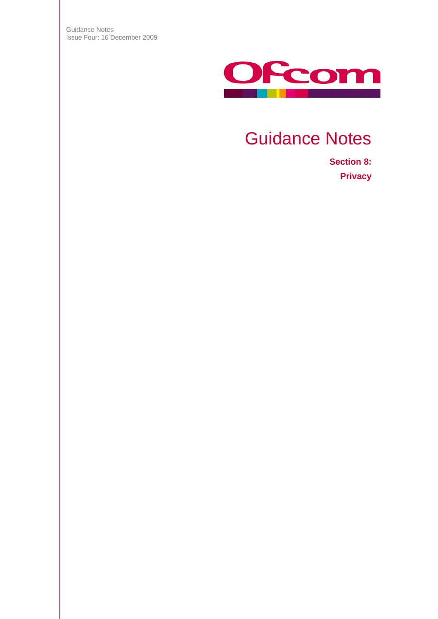Guidance Notes Issue Four: 16 December 2009



# Guidance Notes

**Section 8: Privacy**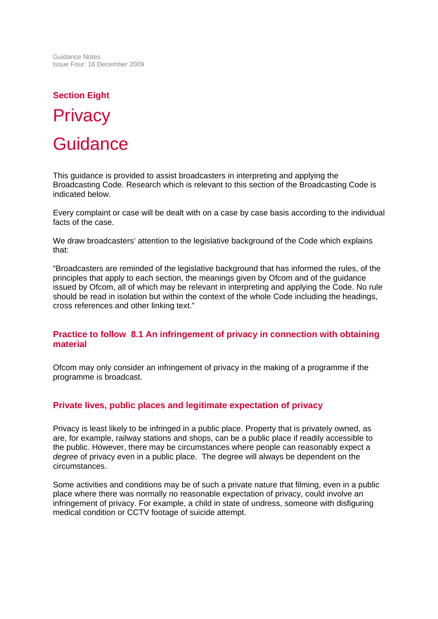Guidance Notes Issue Four: 16 December 2009

# **Section Eight Privacy Guidance**

This guidance is provided to assist broadcasters in interpreting and applying the Broadcasting Code. Research which is relevant to this section of the Broadcasting Code is indicated below.

Every complaint or case will be dealt with on a case by case basis according to the individual facts of the case.

We draw broadcasters' attention to the legislative background of the Code which explains that:

"Broadcasters are reminded of the legislative background that has informed the rules, of the principles that apply to each section, the meanings given by Ofcom and of the guidance issued by Ofcom, all of which may be relevant in interpreting and applying the Code. No rule should be read in isolation but within the context of the whole Code including the headings, cross references and other linking text."

#### **Practice to follow 8.1 An infringement of privacy in connection with obtaining material**

Ofcom may only consider an infringement of privacy in the making of a programme if the programme is broadcast.

# **Private lives, public places and legitimate expectation of privacy**

Privacy is least likely to be infringed in a public place. Property that is privately owned, as are, for example, railway stations and shops, can be a public place if readily accessible to the public. However, there may be circumstances where people can reasonably expect a *degree* of privacy even in a public place. The degree will always be dependent on the circumstances.

Some activities and conditions may be of such a private nature that filming, even in a public place where there was normally no reasonable expectation of privacy, could involve an infringement of privacy. For example, a child in state of undress, someone with disfiguring medical condition or CCTV footage of suicide attempt.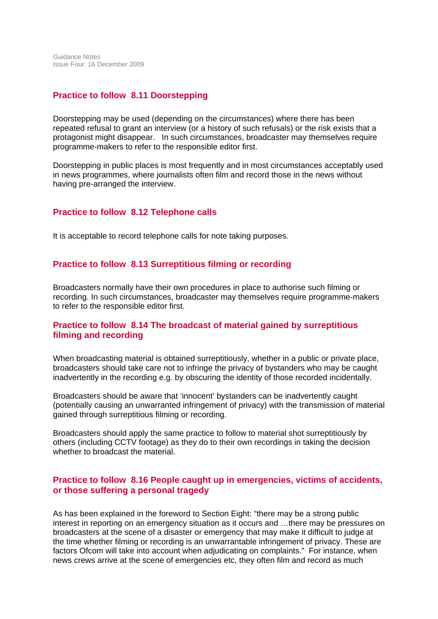# **Practice to follow 8.11 Doorstepping**

Doorstepping may be used (depending on the circumstances) where there has been repeated refusal to grant an interview (or a history of such refusals) or the risk exists that a protagonist might disappear. In such circumstances, broadcaster may themselves require programme-makers to refer to the responsible editor first.

Doorstepping in public places is most frequently and in most circumstances acceptably used in news programmes, where journalists often film and record those in the news without having pre-arranged the interview.

#### **Practice to follow 8.12 Telephone calls**

It is acceptable to record telephone calls for note taking purposes.

#### **Practice to follow 8.13 Surreptitious filming or recording**

Broadcasters normally have their own procedures in place to authorise such filming or recording. In such circumstances, broadcaster may themselves require programme-makers to refer to the responsible editor first.

# **Practice to follow 8.14 The broadcast of material gained by surreptitious filming and recording**

When broadcasting material is obtained surreptitiously, whether in a public or private place, broadcasters should take care not to infringe the privacy of bystanders who may be caught inadvertently in the recording e.g. by obscuring the identity of those recorded incidentally.

Broadcasters should be aware that 'innocent' bystanders can be inadvertently caught (potentially causing an unwarranted infringement of privacy) with the transmission of material gained through surreptitious filming or recording.

Broadcasters should apply the same practice to follow to material shot surreptitiously by others (including CCTV footage) as they do to their own recordings in taking the decision whether to broadcast the material.

# **Practice to follow 8.16 People caught up in emergencies, victims of accidents, or those suffering a personal tragedy**

As has been explained in the foreword to Section Eight: "there may be a strong public interest in reporting on an emergency situation as it occurs and …there may be pressures on broadcasters at the scene of a disaster or emergency that may make it difficult to judge at the time whether filming or recording is an unwarrantable infringement of privacy. These are factors Ofcom will take into account when adjudicating on complaints." For instance, when news crews arrive at the scene of emergencies etc, they often film and record as much